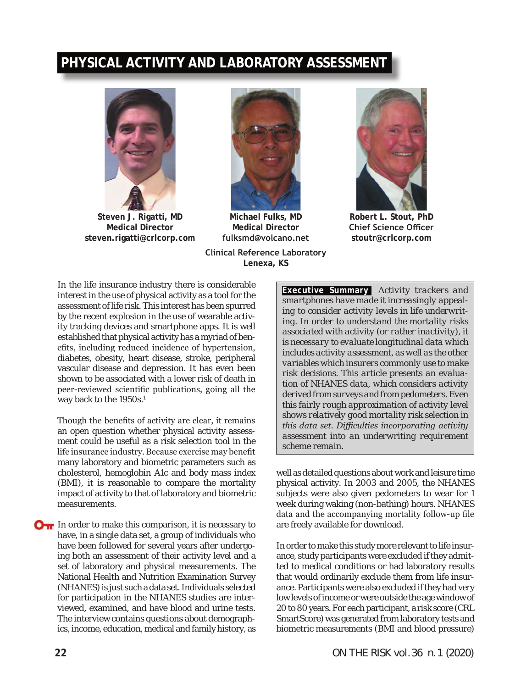# **PHYSICAL ACTIVITY AND LABORATORY ASSESSMENT**



**Steven J. Rigatti, MD Medical Director steven.rigatti@crlcorp.com**



**Michael Fulks, MD Medical Director fulksmd@volcano.net**





**Robert L. Stout, PhD Chief Science Officer stoutr@crlcorp.com**

In the life insurance industry there is considerable interest in the use of physical activity as a tool for the assessment of life risk. This interest has been spurred by the recent explosion in the use of wearable activity tracking devices and smartphone apps. It is well established that physical activity has a myriad of benefits, including reduced incidence of hypertension, diabetes, obesity, heart disease, stroke, peripheral vascular disease and depression. It has even been shown to be associated with a lower risk of death in peer-reviewed scientific publications, going all the way back to the 1950s.<sup>1</sup>

Though the benefits of activity are clear, it remains an open question whether physical activity assessment could be useful as a risk selection tool in the life insurance industry. Because exercise may benefit many laboratory and biometric parameters such as cholesterol, hemoglobin A1c and body mass index (BMI), it is reasonable to compare the mortality impact of activity to that of laboratory and biometric measurements.

**OT** In order to make this comparison, it is necessary to have, in a single data set, a group of individuals who have been followed for several years after undergoing both an assessment of their activity level and a set of laboratory and physical measurements. The National Health and Nutrition Examination Survey (NHANES) is just such a data set. Individuals selected for participation in the NHANES studies are interviewed, examined, and have blood and urine tests. The interview contains questions about demographics, income, education, medical and family history, as **Executive Summary** *Activity trackers and smartphones have made it increasingly appealing to consider activity levels in life underwriting. In order to understand the mortality risks associated with activity (or rather inactivity), it is necessary to evaluate longitudinal data which includes activity assessment, as well as the other variables which insurers commonly use to make risk decisions. This article presents an evaluation of NHANES data, which considers activity derived from surveys and from pedometers. Even this fairly rough approximation of activity level shows relatively good mortality risk selection in this data set. Difficulties incorporating activity assessment into an underwriting requirement scheme remain.*

well as detailed questions about work and leisure time physical activity. In 2003 and 2005, the NHANES subjects were also given pedometers to wear for 1 week during waking (non-bathing) hours. NHANES data and the accompanying mortality follow-up file are freely available for download.

In order to make this study more relevant to life insurance, study participants were excluded if they admitted to medical conditions or had laboratory results that would ordinarily exclude them from life insurance. Participants were also excluded if they had very low levels of income or were outside the age window of 20 to 80 years. For each participant, a risk score (CRL SmartScore) was generated from laboratory tests and biometric measurements (BMI and blood pressure)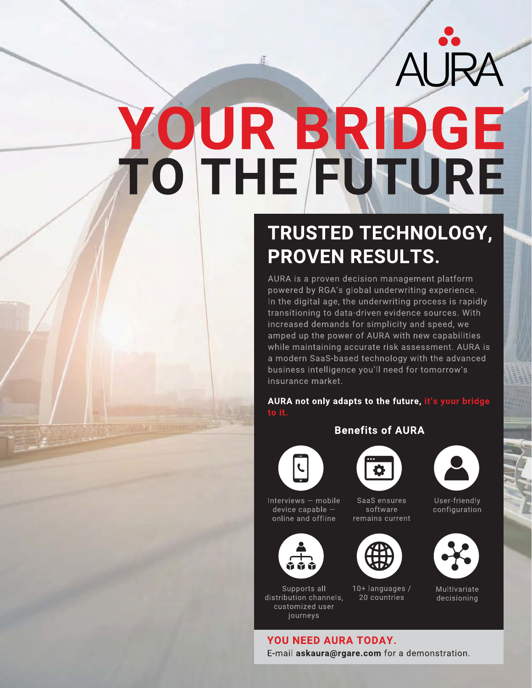AURA

# YOUR BRIDGE<br>TO THE FUTURE

还

# TRUSTED TECHNOLOGY, **PROVEN RESULTS.**

AURA is a proven decision management platform powered by RGA's global underwriting experience. In the digital age, the underwriting process is rapidly transitioning to data-driven evidence sources. With increased demands for simplicity and speed, we amped up the power of AURA with new capabilities while maintaining accurate risk assessment. AURA is a modern SaaS-based technology with the advanced business intelligence you'll need for tomorrow's insurance market.

AURA not only adapts to the future, it's your bridge

## **Benefits of AURA**





SaaS ensures

software

remains current



User-friendly configuration



Multivariate decisioning

Interviews - mobile  $device$  capable  $$ online and offline



Supports all distribution channels, customized user journeys

10+ languages / 20 countries





# YOU NEED AURA TODAY.

E-mail askaura@rgare.com for a demonstration.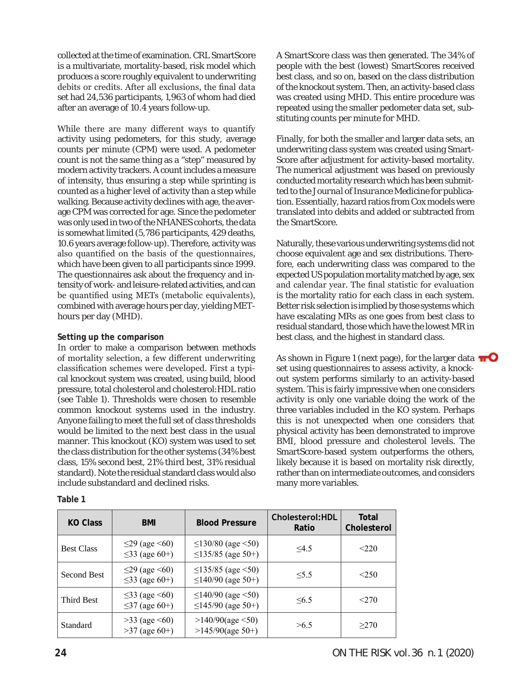collected at the time of examination. CRL SmartScore is a multivariate, mortality-based, risk model which produces a score roughly equivalent to underwriting debits or credits. After all exclusions, the final data set had 24,536 participants, 1,963 of whom had died after an average of 10.4 years follow-up.

While there are many different ways to quantify activity using pedometers, for this study, average counts per minute (CPM) were used. A pedometer count is not the same thing as a "step" measured by modern activity trackers. A count includes a measure of intensity, thus ensuring a step while sprinting is counted as a higher level of activity than a step while walking. Because activity declines with age, the average CPM was corrected for age. Since the pedometer was only used in two of the NHANES cohorts, the data is somewhat limited (5,786 participants, 429 deaths, 10.6 years average follow-up). Therefore, activity was also quantified on the basis of the questionnaires, which have been given to all participants since 1999. The questionnaires ask about the frequency and intensity of work- and leisure-related activities, and can be quantified using METs (metabolic equivalents), combined with average hours per day, yielding METhours per day (MHD).

### **Setting up the comparison**

In order to make a comparison between methods of mortality selection, a few different underwriting classification schemes were developed. First a typical knockout system was created, using build, blood pressure, total cholesterol and cholesterol:HDL ratio (see Table 1). Thresholds were chosen to resemble common knockout systems used in the industry. Anyone failing to meet the full set of class thresholds would be limited to the next best class in the usual manner. This knockout (KO) system was used to set the class distribution for the other systems (34% best class, 15% second best, 21% third best, 31% residual standard). Note the residual standard class would also include substandard and declined risks.

**Table 1**

A SmartScore class was then generated. The 34% of people with the best (lowest) SmartScores received best class, and so on, based on the class distribution of the knockout system. Then, an activity-based class was created using MHD. This entire procedure was repeated using the smaller pedometer data set, substituting counts per minute for MHD.

Finally, for both the smaller and larger data sets, an underwriting class system was created using Smart-Score after adjustment for activity-based mortality. The numerical adjustment was based on previously conducted mortality research which has been submitted to the *Journal of Insurance Medicine* for publication. Essentially, hazard ratios from Cox models were translated into debits and added or subtracted from the SmartScore.

Naturally, these various underwriting systems did not choose equivalent age and sex distributions. Therefore, each underwriting class was compared to the expected US population mortality matched by age, sex and calendar year. The final statistic for evaluation is the mortality ratio for each class in each system. Better risk selection is implied by those systems which have escalating MRs as one goes from best class to residual standard, those which have the lowest MR in best class, and the highest in standard class.

As shown in Figure 1 (next page), for the larger data  $\bullet$ set using questionnaires to assess activity, a knockout system performs similarly to an activity-based system. This is fairly impressive when one considers activity is only one variable doing the work of the three variables included in the KO system. Perhaps this is not unexpected when one considers that physical activity has been demonstrated to improve BMI, blood pressure and cholesterol levels. The SmartScore-based system outperforms the others, likely because it is based on mortality risk directly, rather than on intermediate outcomes, and considers many more variables.

| <b>KO Class</b>    | <b>BMI</b>                                       | <b>Blood Pressure</b>                                    | Cholesterol: HDL<br>Ratio | Total<br>Cholesterol |
|--------------------|--------------------------------------------------|----------------------------------------------------------|---------------------------|----------------------|
| <b>Best Class</b>  | $\leq$ 29 (age $\leq$ 60)<br>$\leq$ 33 (age 60+) | $\leq$ 130/80 (age $\leq$ 50)<br>$\leq$ 135/85 (age 50+) | 4.5                       | < 220                |
| <b>Second Best</b> | $\leq$ 29 (age $\leq$ 60)<br>$\leq$ 33 (age 60+) | $\leq$ 135/85 (age <50)<br>$\leq$ 140/90 (age 50+)       | < 5.5                     | < 250                |
| Third Best         | $\leq$ 33 (age $\leq$ 60)<br>$\leq$ 37 (age 60+) | $\leq$ 140/90 (age <50)<br>$\leq$ 145/90 (age 50+)       | $\leq 6.5$                | < 270                |
| Standard           | $>33$ (age $\leq 60$ )<br>$>37$ (age 60+)        | >140/90(age < 50)<br>$>145/90(age 50+)$                  | >6.5                      | >270                 |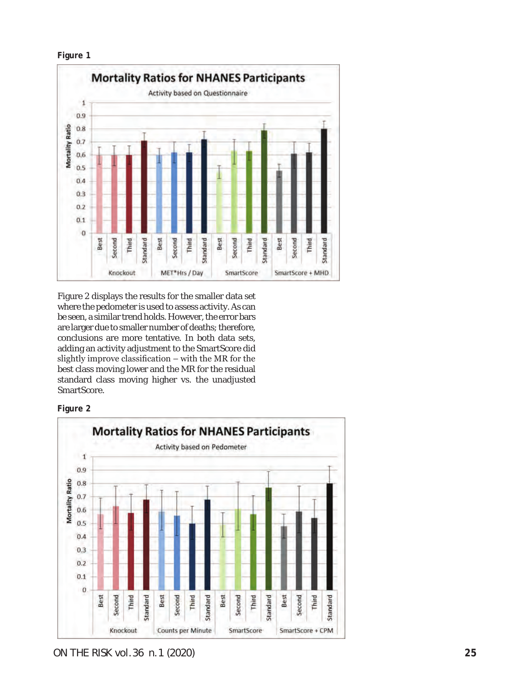

**Figure 1**

Figure 2 displays the results for the smaller data set where the pedometer is used to assess activity. As can be seen, a similar trend holds. However, the error bars are larger due to smaller number of deaths; therefore, conclusions are more tentative. In both data sets, adding an activity adjustment to the SmartScore did slightly improve classification – with the MR for the best class moving lower and the MR for the residual standard class moving higher vs. the unadjusted SmartScore.